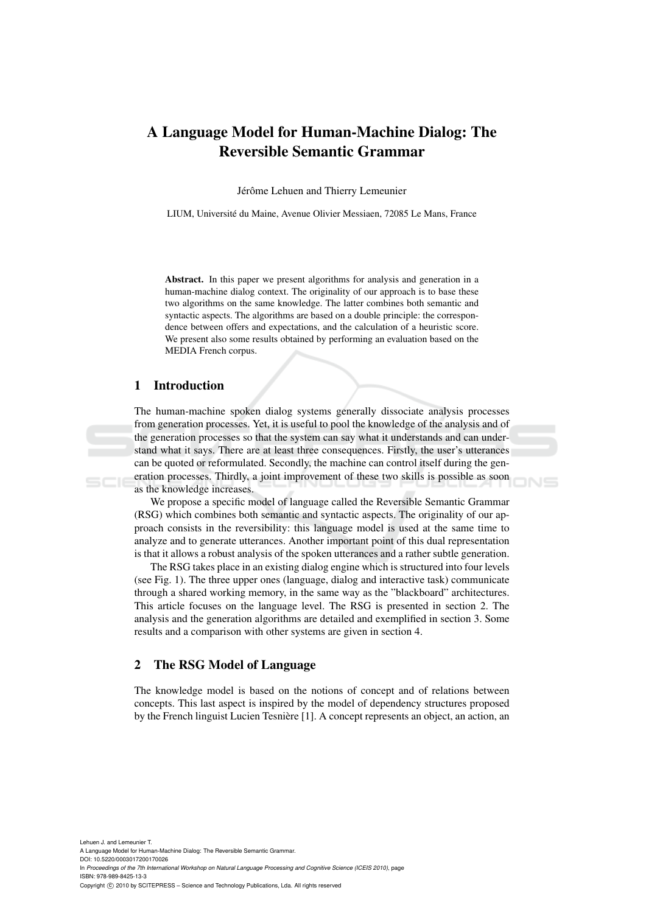# A Language Model for Human-Machine Dialog: The Reversible Semantic Grammar

Jérôme Lehuen and Thierry Lemeunier

LIUM, Universite du Maine, Avenue Olivier Messiaen, 72085 Le Mans, France ´

Abstract. In this paper we present algorithms for analysis and generation in a human-machine dialog context. The originality of our approach is to base these two algorithms on the same knowledge. The latter combines both semantic and syntactic aspects. The algorithms are based on a double principle: the correspondence between offers and expectations, and the calculation of a heuristic score. We present also some results obtained by performing an evaluation based on the MEDIA French corpus.

# 1 Introduction

The human-machine spoken dialog systems generally dissociate analysis processes from generation processes. Yet, it is useful to pool the knowledge of the analysis and of the generation processes so that the system can say what it understands and can understand what it says. There are at least three consequences. Firstly, the user's utterances can be quoted or reformulated. Secondly, the machine can control itself during the generation processes. Thirdly, a joint improvement of these two skills is possible as soon as the knowledge increases.

We propose a specific model of language called the Reversible Semantic Grammar (RSG) which combines both semantic and syntactic aspects. The originality of our approach consists in the reversibility: this language model is used at the same time to analyze and to generate utterances. Another important point of this dual representation is that it allows a robust analysis of the spoken utterances and a rather subtle generation.

The RSG takes place in an existing dialog engine which is structured into four levels (see Fig. 1). The three upper ones (language, dialog and interactive task) communicate through a shared working memory, in the same way as the "blackboard" architectures. This article focuses on the language level. The RSG is presented in section 2. The analysis and the generation algorithms are detailed and exemplified in section 3. Some results and a comparison with other systems are given in section 4.

# 2 The RSG Model of Language

The knowledge model is based on the notions of concept and of relations between concepts. This last aspect is inspired by the model of dependency structures proposed by the French linguist Lucien Tesnière [1]. A concept represents an object, an action, an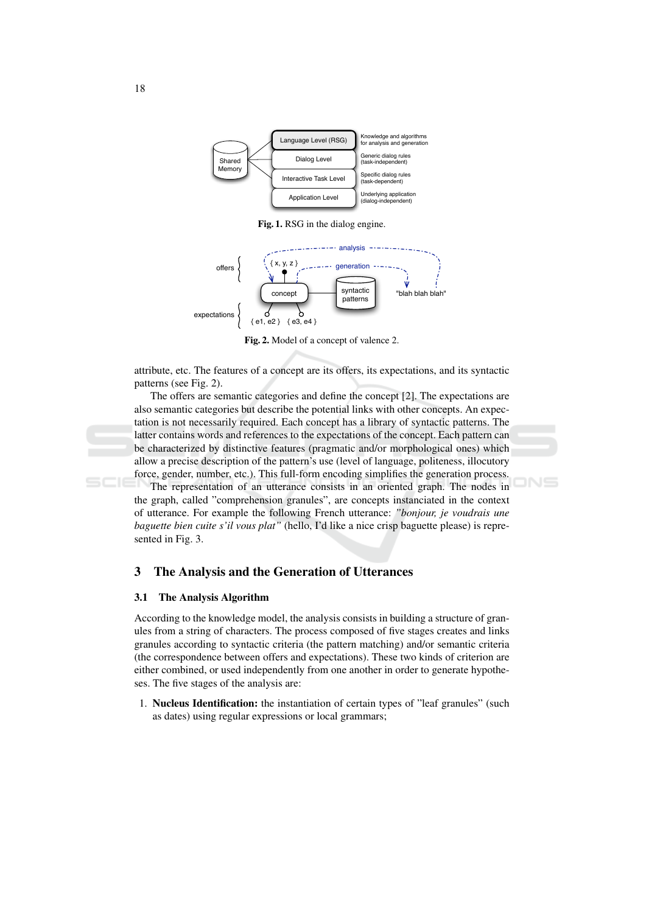

Fig. 1. RSG in the dialog engine.



Fig. 2. Model of a concept of valence 2.

attribute, etc. The features of a concept are its offers, its expectations, and its syntactic patterns (see Fig. 2).

The offers are semantic categories and define the concept [2]. The expectations are also semantic categories but describe the potential links with other concepts. An expectation is not necessarily required. Each concept has a library of syntactic patterns. The latter contains words and references to the expectations of the concept. Each pattern can be characterized by distinctive features (pragmatic and/or morphological ones) which allow a precise description of the pattern's use (level of language, politeness, illocutory force, gender, number, etc.). This full-form encoding simplifies the generation process.

The representation of an utterance consists in an oriented graph. The nodes in the graph, called "comprehension granules", are concepts instanciated in the context of utterance. For example the following French utterance: "bonjour, je voudrais une baguette bien cuite s'il vous plat" (hello, I'd like a nice crisp baguette please) is represented in Fig. 3.

#### $\mathbf{3}$ The Analysis and the Generation of Utterances

#### $3.1$ The Analysis Algorithm

According to the knowledge model, the analysis consists in building a structure of granules from a string of characters. The process composed of five stages creates and links granules according to syntactic criteria (the pattern matching) and/or semantic criteria (the correspondence between offers and expectations). These two kinds of criterion are either combined, or used independently from one another in order to generate hypotheses. The five stages of the analysis are:

1. Nucleus Identification: the instantiation of certain types of "leaf granules" (such as dates) using regular expressions or local grammars;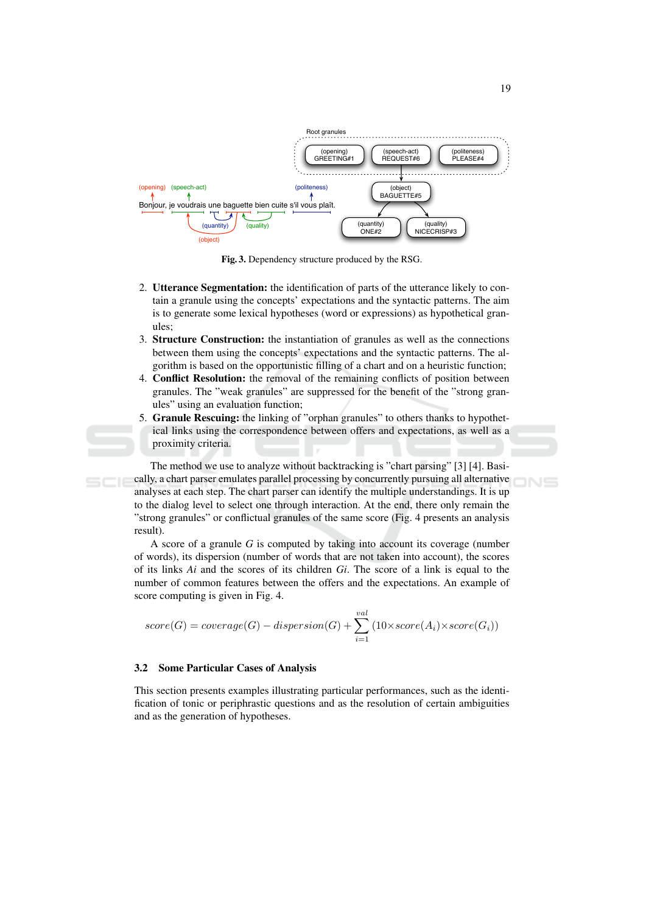

Fig. 3. Dependency structure produced by the RSG.

- 2. Utterance Segmentation: the identification of parts of the utterance likely to contain a granule using the concepts' expectations and the syntactic patterns. The aim is to generate some lexical hypotheses (word or expressions) as hypothetical granules:
- 3. Structure Construction: the instantiation of granules as well as the connections between them using the concepts' expectations and the syntactic patterns. The algorithm is based on the opportunistic filling of a chart and on a heuristic function;
- 4. Conflict Resolution: the removal of the remaining conflicts of position between granules. The "weak granules" are suppressed for the benefit of the "strong granules" using an evaluation function;
- 5. Granule Rescuing: the linking of "orphan granules" to others thanks to hypothetical links using the correspondence between offers and expectations, as well as a proximity criteria.

The method we use to analyze without backtracking is "chart parsing" [3] [4]. Basically, a chart parser emulates parallel processing by concurrently pursuing all alternative analyses at each step. The chart parser can identify the multiple understandings. It is up to the dialog level to select one through interaction. At the end, there only remain the "strong granules" or conflictual granules of the same score (Fig. 4 presents an analysis result).

A score of a granule  $G$  is computed by taking into account its coverage (number of words), its dispersion (number of words that are not taken into account), the scores of its links  $Ai$  and the scores of its children  $Gi$ . The score of a link is equal to the number of common features between the offers and the expectations. An example of score computing is given in Fig. 4.

$$
score(G) = coverage(G) - dispersion(G) + \sum_{i=1}^{val} (10 \times score(A_i) \times score(G_i))
$$

#### $3.2$ **Some Particular Cases of Analysis**

This section presents examples illustrating particular performances, such as the identification of tonic or periphrastic questions and as the resolution of certain ambiguities and as the generation of hypotheses.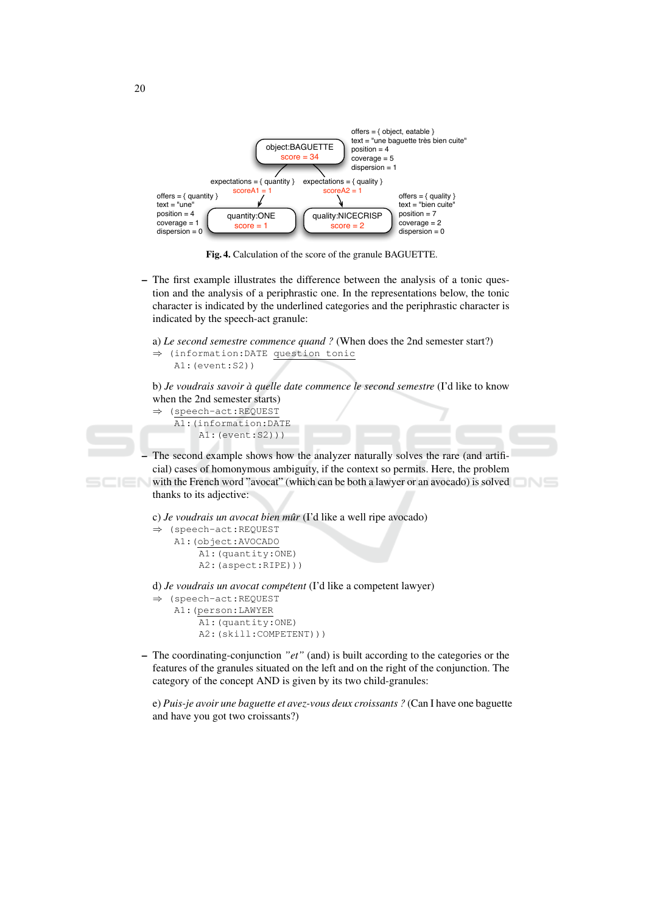

Fig. 4. Calculation of the score of the granule BAGUETTE.

- The first example illustrates the difference between the analysis of a tonic question and the analysis of a periphrastic one. In the representations below, the tonic character is indicated by the underlined categories and the periphrastic character is indicated by the speech-act granule:

a) Le second semestre commence quand ? (When does the 2nd semester start?)

```
\Rightarrow (information: DATE question tonic
    AI: (event: S2))
```
b) Je voudrais savoir à quelle date commence le second semestre (I'd like to know when the 2nd semester starts)

```
(speech-act:REOUEST
\Rightarrow
```
A1: (information: DATE  $AI: (event: S2))$ 

The second example shows how the analyzer naturally solves the rare (and artificial) cases of homonymous ambiguity, if the context so permits. Here, the problem with the French word "avocat" (which can be both a lawyer or an avocado) is solved thanks to its adjective:

```
c) Je voudrais un avocat bien mûr (I'd like a well ripe avocado)
```

```
\Rightarrow (speech-act:REQUEST
```

```
A1: (object: AVOCADO
    A1: (quantity: ONE)
    A2: (aspect:RIPE)))
```
d) Je voudrais un avocat compétent (I'd like a competent lawyer)

```
⇒ (speech-act:REQUEST
   Al: (person: LAWYER
```

```
Al: (quantity: ONE)
A2: (skill:COMPETENT)))
```
The coordinating-conjunction " $et$ " (and) is built according to the categories or the  $\overline{\phantom{0}}$ features of the granules situated on the left and on the right of the conjunction. The category of the concept AND is given by its two child-granules:

e) Puis-je avoir une baguette et avez-vous deux croissants ? (Can I have one baguette and have you got two croissants?)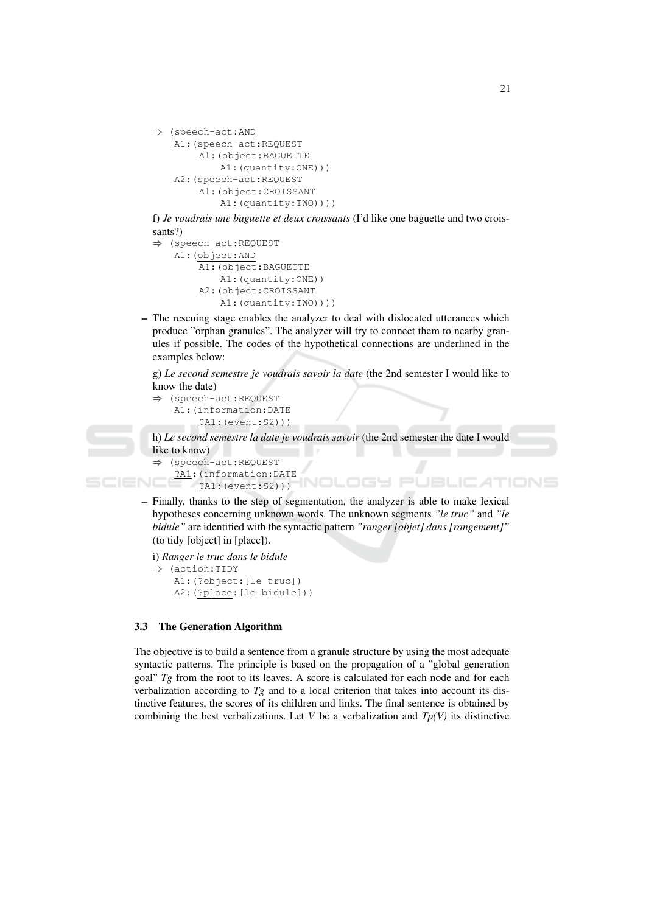```
\Rightarrow (speech-act: AND
    A1: (speech-act:REQUEST
         A1: (object: BAGUETTE
             A1: (quantity: ONE) ) )
    A2: (speech-act:REQUEST
         Al: (object: CROISSANT
             A1: (quantity: TWO) ) ) )
```
f) Je voudrais une baguette et deux croissants (I'd like one baguette and two croissants?)

```
\Rightarrow (speech-act:REQUEST
    A1: (object:AND
         A1: (object: BAGUETTE
             A1: (quantity: ONE))
         A2: (object: CROISSANT
             A1: (quantity: TWO) ) ) )
```
- The rescuing stage enables the analyzer to deal with dislocated utterances which produce "orphan granules". The analyzer will try to connect them to nearby granules if possible. The codes of the hypothetical connections are underlined in the examples below:

g) Le second semestre je voudrais savoir la date (the 2nd semester I would like to know the date)

```
⇒ (speech-act:REQUEST
   A1: (information: DATE
        ?A1: (event: S2) ) )
```
h) Le second semestre la date je voudrais savoir (the 2nd semester the date I would like to know)

OGY PUBLIC

```
(speech-act:REQUEST
 ?A1: (information: DATE
     ?AI: (event: S2))
```
SCIEN

- Finally, thanks to the step of segmentation, the analyzer is able to make lexical hypotheses concerning unknown words. The unknown segments "le truc" and "le bidule" are identified with the syntactic pattern "ranger [objet] dans [rangement]" (to tidy [object] in [place]).

1NOL

```
i) Ranger le truc dans le bidule
```

```
\Rightarrow (action: TIDY
    Al: (?object: [le truc])
    A2: (?place: [le bidule]))
```
### 3.3 The Generation Algorithm

The objective is to build a sentence from a granule structure by using the most adequate syntactic patterns. The principle is based on the propagation of a "global generation goal"  $Tg$  from the root to its leaves. A score is calculated for each node and for each verbalization according to  $Tg$  and to a local criterion that takes into account its distinctive features, the scores of its children and links. The final sentence is obtained by combining the best verbalizations. Let V be a verbalization and  $Tp(V)$  its distinctive

ATIONS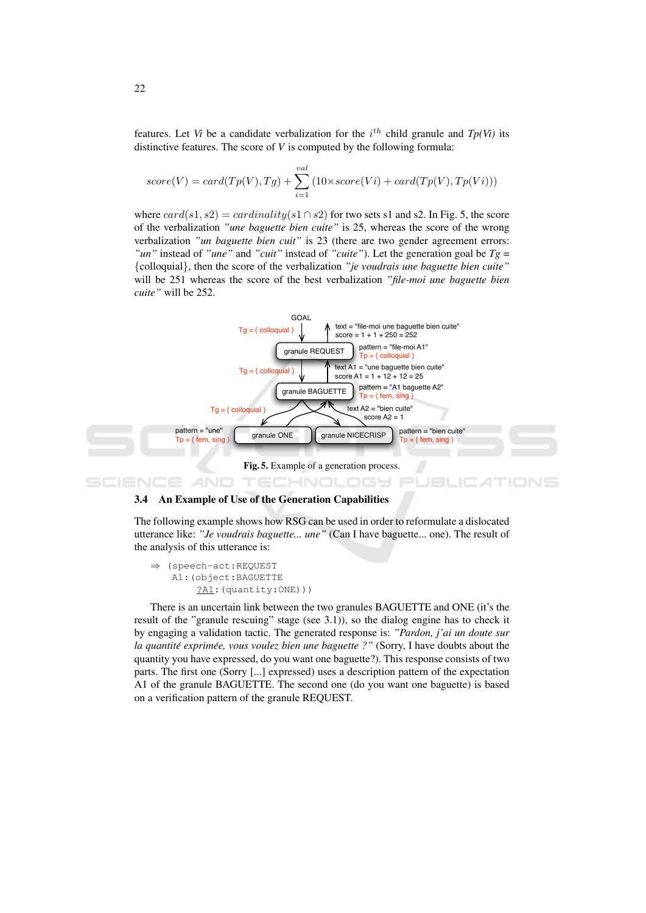features. Let *Vi* be a candidate verbalization for the  $i^{th}$  child granule and  $Tp(Vi)$  its distinctive features. The score of  $V$  is computed by the following formula:

$$
score(V) = card(Tp(V), Tg) + \sum_{i=1}^{val} (10 \times score(Vi) + card(Tp(V), Tp(Vi)))
$$

where  $card(s1, s2) = cardinality(s1 \cap s2)$  for two sets s1 and s2. In Fig. 5, the score of the verbalization "une baguette bien cuite" is 25, whereas the score of the wrong verbalization "un baguette bien cuit" is 23 (there are two gender agreement errors: "un" instead of "une" and "cuit" instead of "cuite"). Let the generation goal be  $Tg =$ {colloquial}, then the score of the verbalization "je voudrais une baguette bien cuite" will be 251 whereas the score of the best verbalization "file-moi une baguette bien cuite" will be 252.



#### $3.4$ An Example of Use of the Generation Capabilities

The following example shows how RSG can be used in order to reformulate a dislocated utterance like: "Je voudrais baguette... une" (Can I have baguette... one). The result of the analysis of this utterance is:

```
\Rightarrow (speech-act:REQUEST
    A1: (object: BAGUETTE
         ?A1: (quantity:ONE)))
```
There is an uncertain link between the two granules BAGUETTE and ONE (it's the result of the "granule rescuing" stage (see 3.1)), so the dialog engine has to check it by engaging a validation tactic. The generated response is: "Pardon, j'ai un doute sur la quantité exprimée, vous voulez bien une baguette ?" (Sorry, I have doubts about the quantity you have expressed, do you want one baguette?). This response consists of two parts. The first one (Sorry [...] expressed) uses a description pattern of the expectation A1 of the granule BAGUETTE. The second one (do you want one baguette) is based on a verification pattern of the granule REQUEST.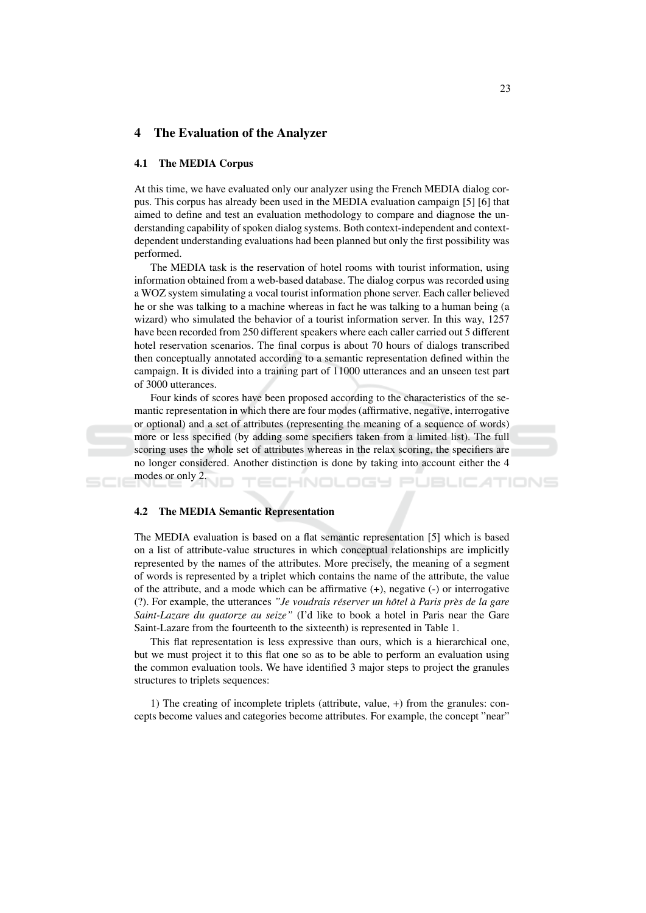#### $\overline{\mathbf{4}}$ The Evaluation of the Analyzer

### 4.1 The MEDIA Corpus

At this time, we have evaluated only our analyzer using the French MEDIA dialog corpus. This corpus has already been used in the MEDIA evaluation campaign [5] [6] that aimed to define and test an evaluation methodology to compare and diagnose the understanding capability of spoken dialog systems. Both context-independent and contextdependent understanding evaluations had been planned but only the first possibility was performed.

The MEDIA task is the reservation of hotel rooms with tourist information, using information obtained from a web-based database. The dialog corpus was recorded using a WOZ system simulating a vocal tourist information phone server. Each caller believed he or she was talking to a machine whereas in fact he was talking to a human being (a wizard) who simulated the behavior of a tourist information server. In this way, 1257 have been recorded from 250 different speakers where each caller carried out 5 different hotel reservation scenarios. The final corpus is about 70 hours of dialogs transcribed then conceptually annotated according to a semantic representation defined within the campaign. It is divided into a training part of 11000 utterances and an unseen test part of 3000 utterances.

Four kinds of scores have been proposed according to the characteristics of the semantic representation in which there are four modes (affirmative, negative, interrogative or optional) and a set of attributes (representing the meaning of a sequence of words) more or less specified (by adding some specifiers taken from a limited list). The full scoring uses the whole set of attributes whereas in the relax scoring, the specifiers are no longer considered. Another distinction is done by taking into account either the 4 modes or only 2.

-INOL

oc

#### **The MEDIA Semantic Representation**  $4.2$

The MEDIA evaluation is based on a flat semantic representation [5] which is based on a list of attribute-value structures in which conceptual relationships are implicitly represented by the names of the attributes. More precisely, the meaning of a segment of words is represented by a triplet which contains the name of the attribute, the value of the attribute, and a mode which can be affirmative  $(+)$ , negative  $(-)$  or interrogative (?). For example, the utterances "Je voudrais réserver un hôtel à Paris près de la gare Saint-Lazare du quatorze au seize" (I'd like to book a hotel in Paris near the Gare Saint-Lazare from the fourteenth to the sixteenth) is represented in Table 1.

This flat representation is less expressive than ours, which is a hierarchical one, but we must project it to this flat one so as to be able to perform an evaluation using the common evaluation tools. We have identified 3 major steps to project the granules structures to triplets sequences:

1) The creating of incomplete triplets (attribute, value, +) from the granules: concepts become values and categories become attributes. For example, the concept "near"

TIONS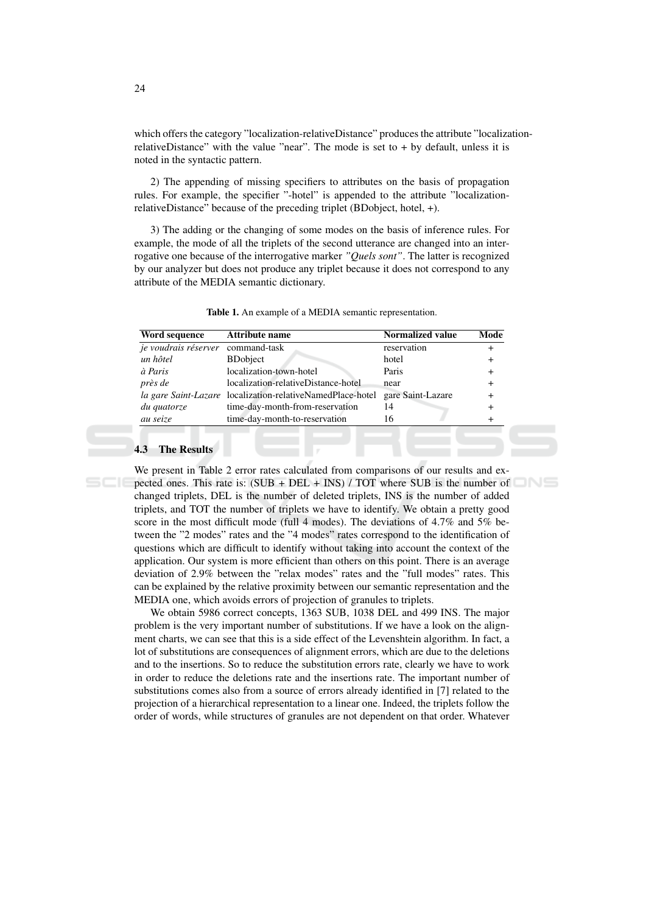which offers the category "localization-relativeDistance" produces the attribute "localizationrelativeDistance" with the value "near". The mode is set to  $+$  by default, unless it is noted in the syntactic pattern.

2) The appending of missing specifiers to attributes on the basis of propagation rules. For example, the specifier "-hotel" is appended to the attribute "localizationrelativeDistance" because of the preceding triplet (BDobject, hotel, +).

3) The adding or the changing of some modes on the basis of inference rules. For example, the mode of all the triplets of the second utterance are changed into an interrogative one because of the interrogative marker "Quels sont". The latter is recognized by our analyzer but does not produce any triplet because it does not correspond to any attribute of the MEDIA semantic dictionary.

| Word sequence                     | <b>Attribute name</b>                                      | Normalized value  | Mode      |
|-----------------------------------|------------------------------------------------------------|-------------------|-----------|
| je voudrais réserver command-task |                                                            | reservation       |           |
| un hôtel                          | <b>BDobject</b>                                            | hotel             | $\ddot{}$ |
| à Paris                           | localization-town-hotel                                    | Paris             | $+$       |
| près de                           | localization-relativeDistance-hotel                        | near              | $+$       |
|                                   | la gare Saint-Lazare localization-relativeNamedPlace-hotel | gare Saint-Lazare | $+$       |
| du quatorze                       | time-day-month-from-reservation                            | 14                |           |
| au seize                          | time-day-month-to-reservation                              | 16                |           |
|                                   |                                                            |                   |           |

Table 1. An example of a MEDIA semantic representation.

### **The Results**

We present in Table 2 error rates calculated from comparisons of our results and expected ones. This rate is:  $(SUB + DEL + INS) / TOT$  where SUB is the number of changed triplets, DEL is the number of deleted triplets, INS is the number of added triplets, and TOT the number of triplets we have to identify. We obtain a pretty good score in the most difficult mode (full 4 modes). The deviations of 4.7% and 5% between the "2 modes" rates and the "4 modes" rates correspond to the identification of questions which are difficult to identify without taking into account the context of the application. Our system is more efficient than others on this point. There is an average deviation of 2.9% between the "relax modes" rates and the "full modes" rates. This can be explained by the relative proximity between our semantic representation and the MEDIA one, which avoids errors of projection of granules to triplets.

We obtain 5986 correct concepts, 1363 SUB, 1038 DEL and 499 INS. The major problem is the very important number of substitutions. If we have a look on the alignment charts, we can see that this is a side effect of the Levenshtein algorithm. In fact, a lot of substitutions are consequences of alignment errors, which are due to the deletions and to the insertions. So to reduce the substitution errors rate, clearly we have to work in order to reduce the deletions rate and the insertions rate. The important number of substitutions comes also from a source of errors already identified in [7] related to the projection of a hierarchical representation to a linear one. Indeed, the triplets follow the order of words, while structures of granules are not dependent on that order. Whatever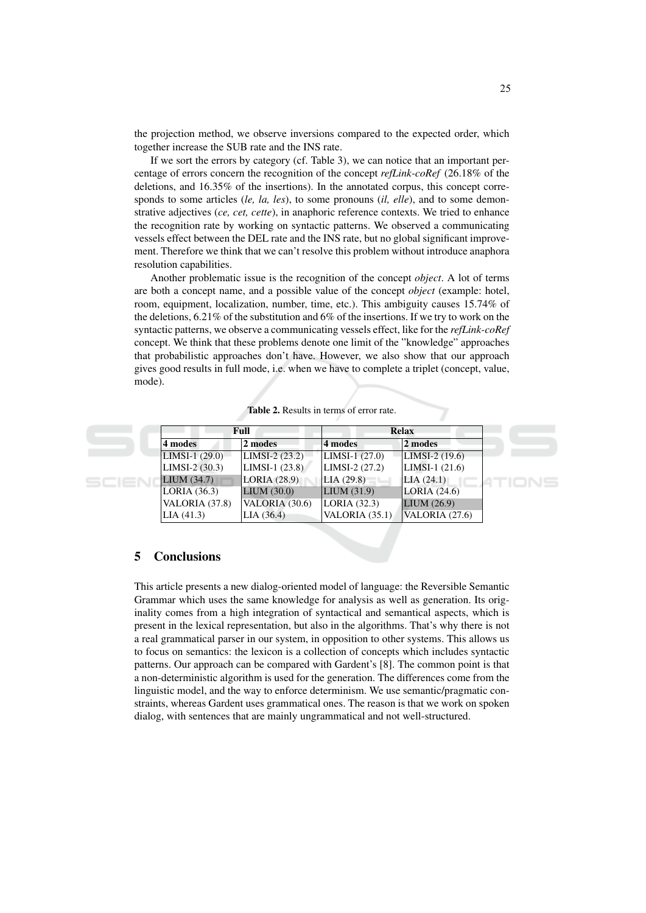the projection method, we observe inversions compared to the expected order, which together increase the SUB rate and the INS rate.

If we sort the errors by category (cf. Table 3), we can notice that an important percentage of errors concern the recognition of the concept refLink-coRef (26.18% of the deletions, and 16.35% of the insertions). In the annotated corpus, this concept corresponds to some articles *(le, la, les)*, to some pronouns *(il, elle)*, and to some demonstrative adjectives (ce, cet, cette), in anaphoric reference contexts. We tried to enhance the recognition rate by working on syntactic patterns. We observed a communicating vessels effect between the DEL rate and the INS rate, but no global significant improvement. Therefore we think that we can't resolve this problem without introduce anaphora resolution capabilities.

Another problematic issue is the recognition of the concept object. A lot of terms are both a concept name, and a possible value of the concept *object* (example: hotel, room, equipment, localization, number, time, etc.). This ambiguity causes 15.74% of the deletions,  $6.21\%$  of the substitution and 6% of the insertions. If we try to work on the syntactic patterns, we observe a communicating vessels effect, like for the refLink-coRef concept. We think that these problems denote one limit of the "knowledge" approaches that probabilistic approaches don't have. However, we also show that our approach gives good results in full mode, i.e. when we have to complete a triplet (concept, value, mode).

| Full             |                  | <b>Relax</b>     |                       |
|------------------|------------------|------------------|-----------------------|
| 4 modes          | 2 modes          | 4 modes          | 2 modes               |
| LIMSI-1 $(29.0)$ | LIMSI-2 $(23.2)$ | LIMSI-1 $(27.0)$ | LIMSI-2 $(19.6)$      |
| LIMSI-2 (30.3)   | LIMSI-1 $(23.8)$ | $LIMSI-2(27.2)$  | $LIMSI-1(21.6)$       |
| LIUM(34.7)       | LORIA(28.9)      | LLA(29.8)        | LLA (24.1)            |
| LORIA $(36.3)$   | LIUM(30.0)       | LIUM(31.9)       | LORIA(24.6)           |
| VALORIA (37.8)   | VALORIA (30.6)   | LORIA(32.3)      | LIUM(26.9)            |
| LIA(41.3)        | LIA(36.4)        | VALORIA $(35.1)$ | <b>VALORIA</b> (27.6) |

Table 2. Results in terms of error rate.

#### 5 **Conclusions**

This article presents a new dialog-oriented model of language: the Reversible Semantic Grammar which uses the same knowledge for analysis as well as generation. Its originality comes from a high integration of syntactical and semantical aspects, which is present in the lexical representation, but also in the algorithms. That's why there is not a real grammatical parser in our system, in opposition to other systems. This allows us to focus on semantics: the lexicon is a collection of concepts which includes syntactic patterns. Our approach can be compared with Gardent's [8]. The common point is that a non-deterministic algorithm is used for the generation. The differences come from the linguistic model, and the way to enforce determinism. We use semantic/pragmatic constraints, whereas Gardent uses grammatical ones. The reason is that we work on spoken dialog, with sentences that are mainly ungrammatical and not well-structured.